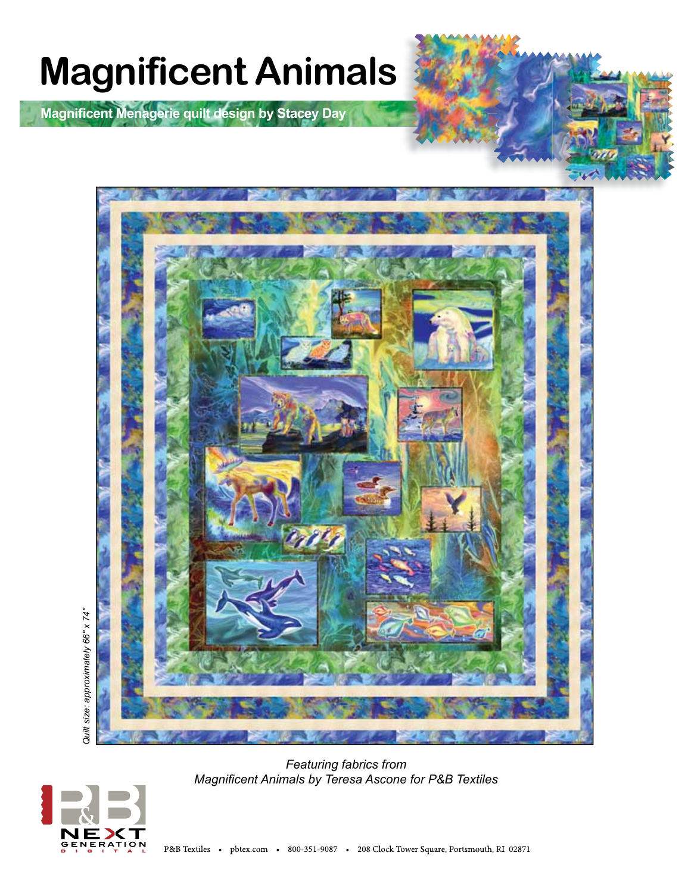

**Magnifi cent Menagerie quilt design by Stacey Day**



*Featuring fabrics from Magnifi cent Animals by Teresa Ascone for P&B Textiles*

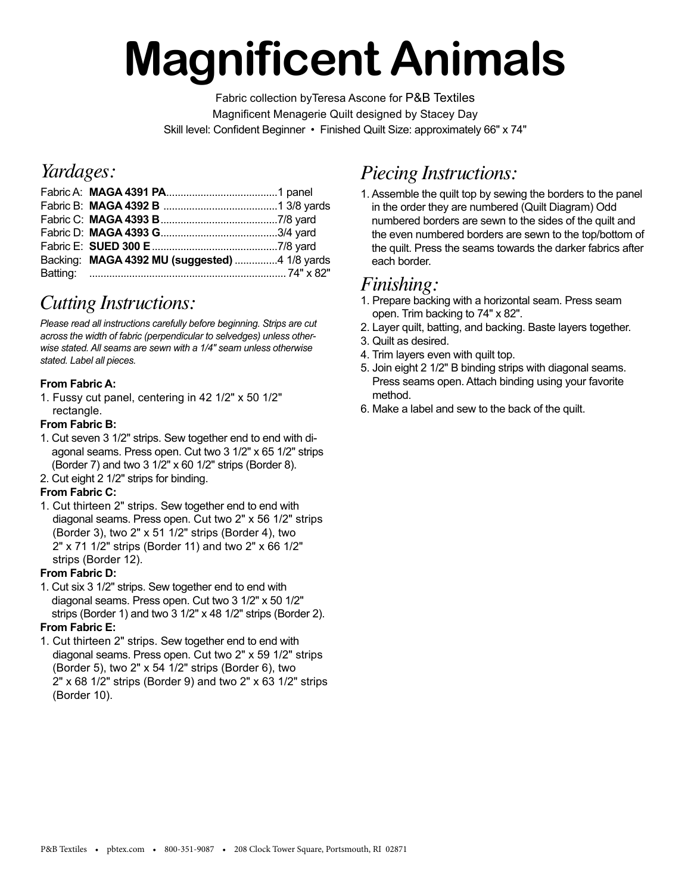# **Magnificent Animals**

Fabric collection byTeresa Ascone for P&B Textiles Magnificent Menagerie Quilt designed by Stacey Day Skill level: Confident Beginner • Finished Quilt Size: approximately 66" x 74"

### *Yardages:*

| Backing: MAGA 4392 MU (suggested) 4 1/8 yards |  |
|-----------------------------------------------|--|
|                                               |  |

## *Cutting Instructions:*

*Please read all instructions carefully before beginning. Strips are cut across the width of fabric (perpendicular to selvedges) unless otherwise stated. All seams are sewn with a 1/4" seam unless otherwise stated. Label all pieces.* 

#### **From Fabric A:**

1. Fussy cut panel, centering in 42 1/2" x 50 1/2" rectangle.

#### **From Fabric B:**

- 1. Cut seven 3 1/2" strips. Sew together end to end with diagonal seams. Press open. Cut two 3 1/2" x 65 1/2" strips (Border 7) and two 3 1/2" x 60 1/2" strips (Border 8).
- 2. Cut eight 2 1/2" strips for binding.

#### **From Fabric C:**

1. Cut thirteen 2" strips. Sew together end to end with diagonal seams. Press open. Cut two 2" x 56 1/2" strips (Border 3), two 2" x 51 1/2" strips (Border 4), two 2" x 71 1/2" strips (Border 11) and two 2" x 66 1/2" strips (Border 12).

#### **From Fabric D:**

1. Cut six 3 1/2" strips. Sew together end to end with diagonal seams. Press open. Cut two 3 1/2" x 50 1/2" strips (Border 1) and two 3 1/2" x 48 1/2" strips (Border 2). **From Fabric E:**

#### 1. Cut thirteen 2" strips. Sew together end to end with diagonal seams. Press open. Cut two 2" x 59 1/2" strips (Border 5), two 2" x 54 1/2" strips (Border 6), two 2" x 68 1/2" strips (Border 9) and two 2" x 63 1/2" strips (Border 10).

## *Piecing Instructions:*

1. Assemble the quilt top by sewing the borders to the panel in the order they are numbered (Quilt Diagram) Odd numbered borders are sewn to the sides of the quilt and the even numbered borders are sewn to the top/bottom of the quilt. Press the seams towards the darker fabrics after each border.

## *Finishing:*

- 1. Prepare backing with a horizontal seam. Press seam open. Trim backing to 74" x 82".
- 2. Layer quilt, batting, and backing. Baste layers together.
- 3. Quilt as desired.
- 4. Trim layers even with quilt top.
- 5. Join eight 2 1/2" B binding strips with diagonal seams. Press seams open. Attach binding using your favorite method.
- 6. Make a label and sew to the back of the quilt.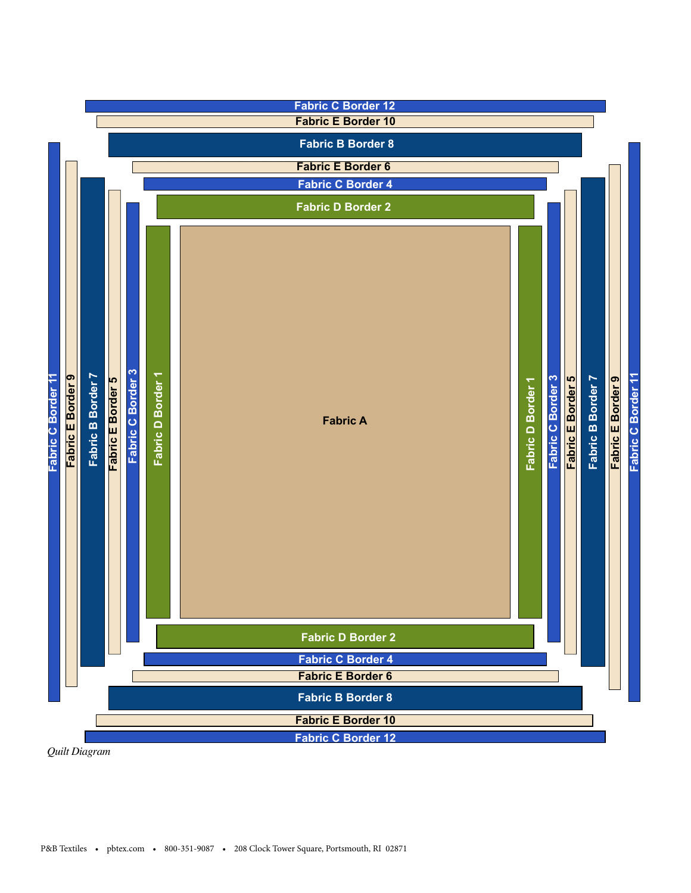

*Quilt Diagram*